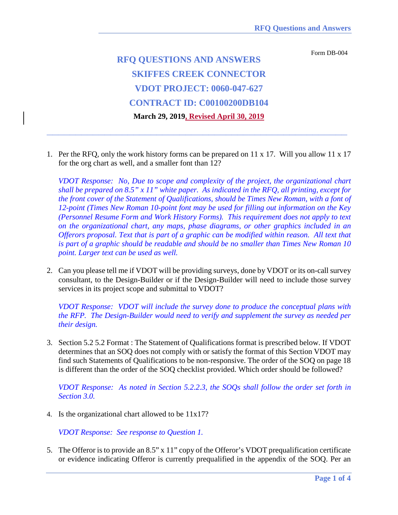Form DB-004

## **RFQ QUESTIONS AND ANSWERS SKIFFES CREEK CONNECTOR VDOT PROJECT: 0060-047-627 CONTRACT ID: C00100200DB104 March 29, 2019, Revised April 30, 2019**

1. Per the RFQ, only the work history forms can be prepared on 11 x 17. Will you allow 11 x 17 for the org chart as well, and a smaller font than 12?

**\_\_\_\_\_\_\_\_\_\_\_\_\_\_\_\_\_\_\_\_\_\_\_\_\_\_\_\_\_\_\_\_\_\_\_\_\_\_\_\_\_\_\_\_\_\_\_\_\_\_\_\_**

*VDOT Response: No, Due to scope and complexity of the project, the organizational chart shall be prepared on 8.5" x 11" white paper. As indicated in the RFQ, all printing, except for the front cover of the Statement of Qualifications, should be Times New Roman, with a font of 12-point (Times New Roman 10-point font may be used for filling out information on the Key (Personnel Resume Form and Work History Forms). This requirement does not apply to text on the organizational chart, any maps, phase diagrams, or other graphics included in an Offerors proposal. Text that is part of a graphic can be modified within reason. All text that is part of a graphic should be readable and should be no smaller than Times New Roman 10 point. Larger text can be used as well.*

2. Can you please tell me if VDOT will be providing surveys, done by VDOT or its on-call survey consultant, to the Design-Builder or if the Design-Builder will need to include those survey services in its project scope and submittal to VDOT?

*VDOT Response: VDOT will include the survey done to produce the conceptual plans with the RFP. The Design-Builder would need to verify and supplement the survey as needed per their design.*

3. Section 5.2 5.2 Format : The Statement of Qualifications format is prescribed below. If VDOT determines that an SOQ does not comply with or satisfy the format of this Section VDOT may find such Statements of Qualifications to be non-responsive. The order of the SOQ on page 18 is different than the order of the SOQ checklist provided. Which order should be followed?

*VDOT Response: As noted in Section 5.2.2.3, the SOQs shall follow the order set forth in Section 3.0.*

4. Is the organizational chart allowed to be 11x17?

*VDOT Response: See response to Question 1.*

5. The Offeror is to provide an 8.5" x 11" copy of the Offeror's VDOT prequalification certificate or evidence indicating Offeror is currently prequalified in the appendix of the SOQ. Per an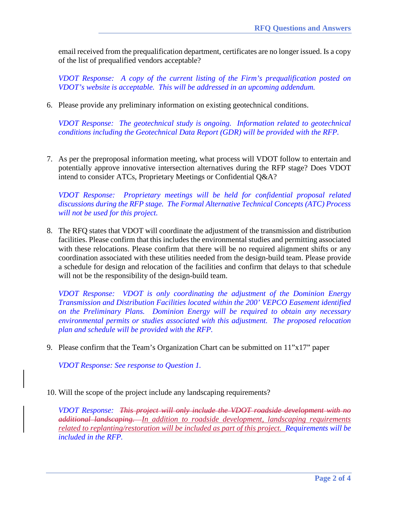email received from the prequalification department, certificates are no longer issued. Is a copy of the list of prequalified vendors acceptable?

*VDOT Response: A copy of the current listing of the Firm's prequalification posted on VDOT's website is acceptable. This will be addressed in an upcoming addendum.*

6. Please provide any preliminary information on existing geotechnical conditions.

*VDOT Response: The geotechnical study is ongoing. Information related to geotechnical conditions including the Geotechnical Data Report (GDR) will be provided with the RFP.*

7. As per the preproposal information meeting, what process will VDOT follow to entertain and potentially approve innovative intersection alternatives during the RFP stage? Does VDOT intend to consider ATCs, Proprietary Meetings or Confidential Q&A?

*VDOT Response: Proprietary meetings will be held for confidential proposal related discussions during the RFP stage. The Formal Alternative Technical Concepts (ATC) Process will not be used for this project.*

8. The RFQ states that VDOT will coordinate the adjustment of the transmission and distribution facilities. Please confirm that this includes the environmental studies and permitting associated with these relocations. Please confirm that there will be no required alignment shifts or any coordination associated with these utilities needed from the design-build team. Please provide a schedule for design and relocation of the facilities and confirm that delays to that schedule will not be the responsibility of the design-build team.

*VDOT Response: VDOT is only coordinating the adjustment of the Dominion Energy Transmission and Distribution Facilities located within the 200' VEPCO Easement identified on the Preliminary Plans. Dominion Energy will be required to obtain any necessary environmental permits or studies associated with this adjustment. The proposed relocation plan and schedule will be provided with the RFP.*

9. Please confirm that the Team's Organization Chart can be submitted on 11"x17" paper

*VDOT Response: See response to Question 1.*

10. Will the scope of the project include any landscaping requirements?

*VDOT Response: This project will only include the VDOT roadside development with no additional landscaping. In addition to roadside development, landscaping requirements related to replanting/restoration will be included as part of this project. Requirements will be included in the RFP.*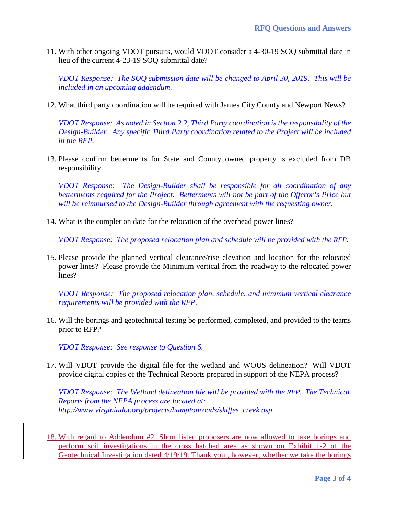11. With other ongoing VDOT pursuits, would VDOT consider a 4-30-19 SOQ submittal date in lieu of the current 4-23-19 SOQ submittal date?

*VDOT Response: The SOQ submission date will be changed to April 30, 2019. This will be included in an upcoming addendum.*

12. What third party coordination will be required with James City County and Newport News?

*VDOT Response: As noted in Section 2.2, Third Party coordination is the responsibility of the Design-Builder. Any specific Third Party coordination related to the Project will be included in the RFP.*

13. Please confirm betterments for State and County owned property is excluded from DB responsibility.

*VDOT Response: The Design-Builder shall be responsible for all coordination of any betterments required for the Project. Betterments will not be part of the Offeror's Price but will be reimbursed to the Design-Builder through agreement with the requesting owner.*

14. What is the completion date for the relocation of the overhead power lines?

*VDOT Response: The proposed relocation plan and schedule will be provided with the RFP.*

15. Please provide the planned vertical clearance/rise elevation and location for the relocated power lines? Please provide the Minimum vertical from the roadway to the relocated power lines?

*VDOT Response: The proposed relocation plan, schedule, and minimum vertical clearance requirements will be provided with the RFP.*

16. Will the borings and geotechnical testing be performed, completed, and provided to the teams prior to RFP?

*VDOT Response: See response to Question 6.*

17. Will VDOT provide the digital file for the wetland and WOUS delineation? Will VDOT provide digital copies of the Technical Reports prepared in support of the NEPA process?

*VDOT Response: The Wetland delineation file will be provided with the RFP. The Technical Reports from the NEPA process are located at: http://www.virginiadot.org/projects/hamptonroads/skiffes\_creek.asp.*

18. With regard to Addendum #2. Short listed proposers are now allowed to take borings and perform soil investigations in the cross hatched area as shown on Exhibit 1-2 of the Geotechnical Investigation dated 4/19/19. Thank you , however, whether we take the borings